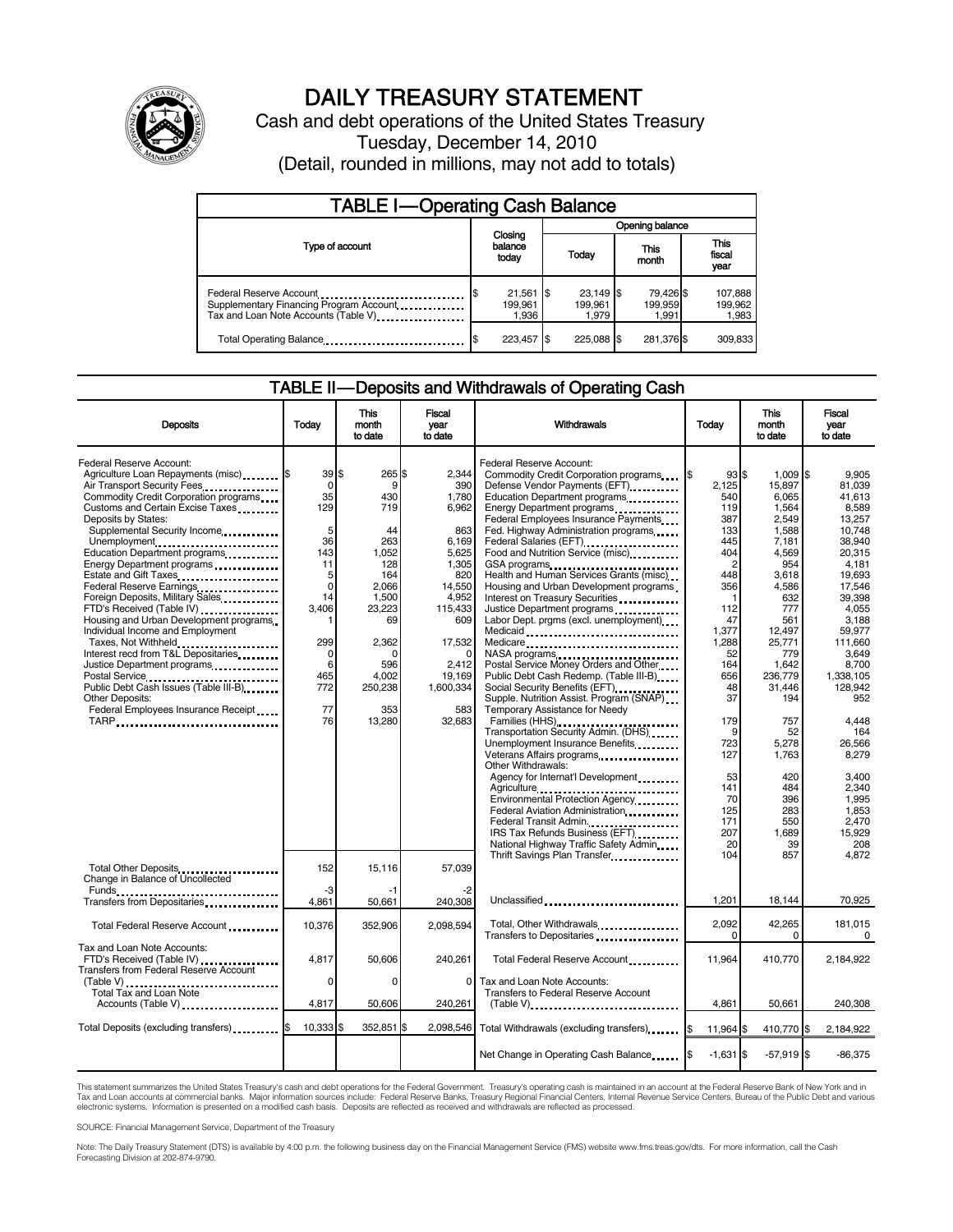

# DAILY TREASURY STATEMENT

Cash and debt operations of the United States Treasury Tuesday, December 14, 2010 (Detail, rounded in millions, may not add to totals)

| <b>TABLE I-Operating Cash Balance</b>                                                                      |                                       |                                 |                               |                             |  |  |
|------------------------------------------------------------------------------------------------------------|---------------------------------------|---------------------------------|-------------------------------|-----------------------------|--|--|
|                                                                                                            |                                       |                                 | Opening balance               |                             |  |  |
| Type of account                                                                                            | Closing<br>balance<br>today           | Today                           | This<br>month                 | This<br>fiscal<br>year      |  |  |
| Federal Reserve Account<br>Supplementary Financing Program Account<br>Tax and Loan Note Accounts (Table V) | \$<br>$21,561$ \$<br>199.961<br>1,936 | $23,149$ \$<br>199.961<br>1.979 | 79,426 \$<br>199,959<br>1.991 | 107,888<br>199,962<br>1,983 |  |  |
| Total Operating Balance                                                                                    | 223.457 \$                            | 225.088 \$                      | 281,376 \$                    | 309,833                     |  |  |

#### TABLE II — Deposits and Withdrawals of Operating Cash

| <b>Deposits</b>                                                                                                                                                                                                                                                                                                                                                                                                                                                                                                                                                                                                                                                                                                                                | Today                                                                                                                              | This<br>month<br>to date                                                                                                                               | Fiscal<br>year<br>to date                                                                                                                                                      | Withdrawals                                                                                                                                                                                                                                                                                                                                                                                                                                                                                                                                                                                                                                                                                                                                                                                                                                                                | Today                                                                                                                                                                                   | This<br>month<br>to date                                                                                                                                                                                       | Fiscal<br>vear<br>to date                                                                                                                                                                                                           |
|------------------------------------------------------------------------------------------------------------------------------------------------------------------------------------------------------------------------------------------------------------------------------------------------------------------------------------------------------------------------------------------------------------------------------------------------------------------------------------------------------------------------------------------------------------------------------------------------------------------------------------------------------------------------------------------------------------------------------------------------|------------------------------------------------------------------------------------------------------------------------------------|--------------------------------------------------------------------------------------------------------------------------------------------------------|--------------------------------------------------------------------------------------------------------------------------------------------------------------------------------|----------------------------------------------------------------------------------------------------------------------------------------------------------------------------------------------------------------------------------------------------------------------------------------------------------------------------------------------------------------------------------------------------------------------------------------------------------------------------------------------------------------------------------------------------------------------------------------------------------------------------------------------------------------------------------------------------------------------------------------------------------------------------------------------------------------------------------------------------------------------------|-----------------------------------------------------------------------------------------------------------------------------------------------------------------------------------------|----------------------------------------------------------------------------------------------------------------------------------------------------------------------------------------------------------------|-------------------------------------------------------------------------------------------------------------------------------------------------------------------------------------------------------------------------------------|
| Federal Reserve Account:<br>Agriculture Loan Repayments (misc) [\$<br>Air Transport Security Fees<br>Commodity Credit Corporation programs<br>Customs and Certain Excise Taxes<br>Deposits by States:<br>Supplemental Security Income<br>Unemployment<br>Education Department programs<br>Energy Department programs<br>Federal Reserve Earnings<br>Foreign Deposits, Military Sales<br>FTD's Received (Table IV) <b>[19] [19]</b><br>Housing and Urban Development programs<br>Individual Income and Employment<br>Taxes, Not Withheld<br>Interest recd from T&L Depositaries<br>Justice Department programs<br>Postal Service<br>Public Debt Cash Issues (Table III-B)<br><br>Other Deposits:<br>Federal Employees Insurance Receipt<br>TARP | 39S<br>$\Omega$<br>35<br>129<br>5<br>36<br>143<br>11<br>5<br>$\mathbf 0$<br>14<br>3,406<br>299<br>0<br>6<br>465<br>772<br>77<br>76 | 265<br>9<br>430<br>719<br>44<br>263<br>1,052<br>128<br>164<br>2,066<br>1,500<br>23,223<br>69<br>2,362<br>n<br>596<br>4.002<br>250,238<br>353<br>13.280 | 2.344<br>ľ\$<br>390<br>1,780<br>6,962<br>863<br>6,169<br>5.625<br>1.305<br>820<br>14,550<br>4,952<br>115,433<br>609<br>17,532<br>2.412<br>19.169<br>1,600,334<br>583<br>32,683 | Federal Reserve Account:<br>Commodity Credit Corporation programs<br>Defense Vendor Payments (EFT)<br>Education Department programs<br>Energy Department programs<br>Federal Employees Insurance Payments<br>Fed. Highway Administration programs<br>Federal Salaries (EFT)<br>Food and Nutrition Service (misc)<br>GSA programs<br>Health and Human Services Grants (misc)<br>Housing and Urban Development programs<br>Interest on Treasury Securities<br>Justice Department programs<br>Labor Dept. prgms (excl. unemployment)<br>Medicaid<br>Medicare<br>NASA programs<br>Postal Service Money Orders and Other<br>Public Debt Cash Redemp. (Table III-B)<br>Social Security Benefits (EFT)<br>Supple. Nutrition Assist. Program (SNAP)<br>Temporary Assistance for Needy<br>Families (HHS)<br>Transportation Security Admin. (DHS)<br>Unemployment Insurance Benefits | 93S<br>2.125<br>540<br>119<br>387<br>133<br>445<br>404<br>$\overline{2}$<br>448<br>356<br>$\mathbf 1$<br>112<br>47<br>1.377<br>1,288<br>52<br>164<br>656<br>48<br>37<br>179<br>9<br>723 | $1,009$ \$<br>15.897<br>6,065<br>1,564<br>2,549<br>1,588<br>7,181<br>4,569<br>954<br>3,618<br>4,586<br>632<br>777<br>561<br>12.497<br>25,771<br>779<br>1.642<br>236.779<br>31,446<br>194<br>757<br>52<br>5,278 | 9.905<br>81.039<br>41.613<br>8,589<br>13.257<br>10,748<br>38,940<br>20.315<br>4.181<br>19,693<br>17.546<br>39.398<br>4,055<br>3.188<br>59.977<br>111.660<br>3.649<br>8,700<br>1.338.105<br>128.942<br>952<br>4.448<br>164<br>26.566 |
| Total Other Deposits                                                                                                                                                                                                                                                                                                                                                                                                                                                                                                                                                                                                                                                                                                                           | 152                                                                                                                                | 15,116                                                                                                                                                 | 57,039                                                                                                                                                                         | Veterans Affairs programs<br>Other Withdrawals:<br>Agency for Internat'l Development<br>Agriculture<br>Environmental Protection Agency<br>Federal Aviation Administration<br>Federal Transit Admin.<br>IRS Tax Refunds Business (EFT).<br>National Highway Traffic Safety Admin<br>Thrift Savings Plan Transfer                                                                                                                                                                                                                                                                                                                                                                                                                                                                                                                                                            | 127<br>53<br>141<br>70<br>125<br>171<br>207<br>20<br>104                                                                                                                                | 1,763<br>420<br>484<br>396<br>283<br>550<br>1.689<br>39<br>857                                                                                                                                                 | 8.279<br>3.400<br>2.340<br>1.995<br>1.853<br>2.470<br>15.929<br>208<br>4.872                                                                                                                                                        |
| Change in Balance of Uncollected<br>Funds<br>Transfers from Depositaries                                                                                                                                                                                                                                                                                                                                                                                                                                                                                                                                                                                                                                                                       | -3<br>4,861                                                                                                                        | -1<br>50,661                                                                                                                                           | -2<br>240,308                                                                                                                                                                  | Unclassified                                                                                                                                                                                                                                                                                                                                                                                                                                                                                                                                                                                                                                                                                                                                                                                                                                                               | 1,201                                                                                                                                                                                   | 18,144                                                                                                                                                                                                         | 70,925                                                                                                                                                                                                                              |
| Total Federal Reserve Account                                                                                                                                                                                                                                                                                                                                                                                                                                                                                                                                                                                                                                                                                                                  | 10,376                                                                                                                             | 352.906                                                                                                                                                | 2.098.594                                                                                                                                                                      | Total, Other Withdrawals<br>Transfers to Depositaries                                                                                                                                                                                                                                                                                                                                                                                                                                                                                                                                                                                                                                                                                                                                                                                                                      | 2,092<br>0                                                                                                                                                                              | 42,265<br>$\Omega$                                                                                                                                                                                             | 181,015<br>$\Omega$                                                                                                                                                                                                                 |
| Tax and Loan Note Accounts:<br>FTD's Received (Table IV)<br>Transfers from Federal Reserve Account                                                                                                                                                                                                                                                                                                                                                                                                                                                                                                                                                                                                                                             | 4.817                                                                                                                              | 50.606                                                                                                                                                 | 240.261<br>$\Omega$                                                                                                                                                            | Total Federal Reserve Account                                                                                                                                                                                                                                                                                                                                                                                                                                                                                                                                                                                                                                                                                                                                                                                                                                              | 11.964                                                                                                                                                                                  | 410.770                                                                                                                                                                                                        | 2.184.922                                                                                                                                                                                                                           |
| Total Tax and Loan Note<br>Accounts (Table V)                                                                                                                                                                                                                                                                                                                                                                                                                                                                                                                                                                                                                                                                                                  | 0<br>4,817                                                                                                                         | 0<br>50.606                                                                                                                                            | 240.261                                                                                                                                                                        | Tax and Loan Note Accounts:<br>Transfers to Federal Reserve Account<br>$(Table V)$                                                                                                                                                                                                                                                                                                                                                                                                                                                                                                                                                                                                                                                                                                                                                                                         | 4.861                                                                                                                                                                                   | 50.661                                                                                                                                                                                                         | 240.308                                                                                                                                                                                                                             |
| Total Deposits (excluding transfers)                                                                                                                                                                                                                                                                                                                                                                                                                                                                                                                                                                                                                                                                                                           | 10,333 \$                                                                                                                          | 352,851 \$                                                                                                                                             | 2,098,546                                                                                                                                                                      | Total Withdrawals (excluding transfers)                                                                                                                                                                                                                                                                                                                                                                                                                                                                                                                                                                                                                                                                                                                                                                                                                                    | 11,964 \$                                                                                                                                                                               | 410,770 \$                                                                                                                                                                                                     | 2,184,922                                                                                                                                                                                                                           |
|                                                                                                                                                                                                                                                                                                                                                                                                                                                                                                                                                                                                                                                                                                                                                |                                                                                                                                    |                                                                                                                                                        |                                                                                                                                                                                | Net Change in Operating Cash Balance                                                                                                                                                                                                                                                                                                                                                                                                                                                                                                                                                                                                                                                                                                                                                                                                                                       | $-1,631$ \$                                                                                                                                                                             | $-57,919$ \$                                                                                                                                                                                                   | $-86,375$                                                                                                                                                                                                                           |

This statement summarizes the United States Treasury's cash and debt operations for the Federal Government. Treasury's operating cash is maintained in an account at the Federal Reserve Bank of New York and in<br>Tax and Loan electronic systems. Information is presented on a modified cash basis. Deposits are reflected as received and withdrawals are reflected as processed.

SOURCE: Financial Management Service, Department of the Treasury

Note: The Daily Treasury Statement (DTS) is available by 4:00 p.m. the following business day on the Financial Management Service (FMS) website www.fms.treas.gov/dts. For more information, call the Cash Forecasting Division at 202-874-9790.